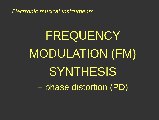# FREQUENCY MODULATION (FM) **SYNTHESIS** + phase distortion (PD)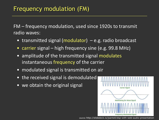FM – frequency modulation, used since 1920s to transmit radio waves:

- transmitted signal (modulator)  $-e.g.$  radio broadcast
- carrier signal high frequency sine (e.g. 99.8 MHz)
- amplitude of the transmitted signal modulates instantaneous frequency of the carrier
- modulated signal is transmitted on air
- the received signal is demodulated
- we obtain the original signal



source: http://slidedeck.io/jsantell/dsp-with-web-audio-presentation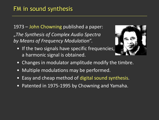1973 – John Chowning published a paper: "*The Synthesis of Complex Audio Spectra by Means of Frequency Modulation*".

• If the two signals have specific frequencies, a harmonic signal is obtained.



- Changes in modulator amplitude modify the timbre.
- Multiple modulations may be performed.
- Easy and cheap method of digital sound synthesis.
- Patented in 1975-1995 by Chowning and Yamaha.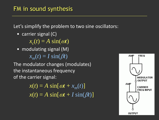Let's simplify the problem to two sine oscillators:

• carrier signal (C)

 $x_c(t) = A \sin(\omega t)$ 

• modulating signal (M)  $x_m(t) = I \sin(\beta t)$ 

The modulator changes (modulates) the instantaneous frequency of the carrier signal:

> $x(t) = A \sin[\omega t + x_m(t)]$  $x(t) = A \sin[\omega t + I \sin(\beta t)]$

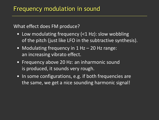What effect does FM produce?

- Low modulating frequency (<1 Hz): slow wobbling of the pitch (just like LFO in the subtractive synthesis).
- Modulating frequency in 1 Hz 20 Hz range: an increasing vibrato effect.
- Frequency above 20 Hz: an inharmonic sound is produced, it sounds very rough.
- In some configurations, e.g. if both frequencies are the same, we get a nice sounding harmonic signal!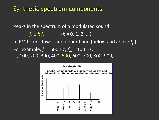Peaks in the spectrum of a modulated sound:

 $f_c \pm k f_m$  (*k* = 0, 1, 2, ...) In FM terms: lower and upper band (below and above *f c* ) For example,  $f_c$  = 500 Hz,  $f_m$  = 100 Hz: …, 100, 200, 300, 400, 500, 600, 700, 800, 900, …

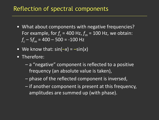# Reflection of spectral components

- What about components with negative frequencies? For example, for  $f_c$  = 400 Hz,  $f_m$  = 100 Hz, we obtain: *f <sup>c</sup>* – 5*f<sup>m</sup>* = 400 – 500 = -100 Hz
- We know that:  $sin(-x) = -sin(x)$
- Therefore:
	- a "negative" component is reflected to a positive frequency (an absolute value is taken),
	- phase of the reflected component is inversed,
	- if another component is present at this frequency, amplitudes are summed up (with phase).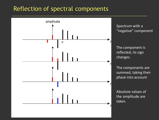# Reflection of spectral components



Spectrum with a "negative" component

The component is reflected, its sign changes.

The components are summed, taking their phase into account

Absolute values of the amplitude are taken.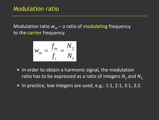Modulation ratio  $w_m$  – a ratio of modulating frequency to the carrier frequency.

$$
w_m = \frac{f_m}{f_c} = \frac{N_2}{N_1}
$$

- In order to obtain a harmonic signal, the modulation ratio has to be expressed as a ratio of integers  $N_2$  and  $N_{1.}$
- In practice, low integers are used, e.g.: 1:1, 2:1, 3:1, 3:2.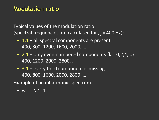Typical values of the modulation ratio (spectral frequencies are calculated for  $f_c$  = 400 Hz):

- 1:1 all spectral components are present 400, 800, 1200, 1600, 2000, …
- 2:1 only even numbered components  $(k = 0, 2, 4, ...)$ 400, 1200, 2000, 2800, …
- $3:1$  every third component is missing 400, 800, 1600, 2000, 2800, …

Example of an inharmonic spectrum:

• 
$$
w_m = \sqrt{2} : 1
$$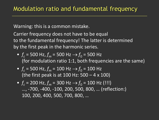Warning: this is a common mistake.

Carrier frequency does not have to be equal to the fundamental frequency! The latter is determined by the first peak in the harmonic series.

- $f_c$  = 500 Hz,  $f_m$  = 500 Hz  $\rightarrow$   $f_0$  = 500 Hz (for modulation ratio 1:1, both frequencies are the same)
- $f_c$  = 500 Hz,  $f_m$  = 100 Hz  $\rightarrow$   $f_0$  = 100 Hz (the first peak is at 100 Hz: 500 – 4 x 100)
- $f_c$  = 200 Hz,  $f_m$  = 300 Hz  $\rightarrow$   $f_0$  = 100 Hz (!!!) …, -700, -400, -100, 200, 500, 800, … (reflection:) 100, 200, 400, 500, 700, 800, …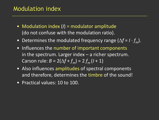# Modulation index

- Modulation index (*I*) = modulator amplitude (do not confuse with the modulation ratio).
- Determines the modulated frequency range  $(\Delta f = I \cdot f_m)$ .
- Influences the number of important components in the spectrum. Larger index – a richer spectrum. Carson rule:  $B = 2(\Delta f + f_m) = 2 f_m (I + 1)$
- Also influences amplitudes of spectral components and therefore, determines the timbre of the sound!
- Practical values: 10 to 100.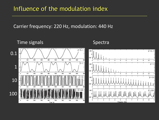# Influence of the modulation index

Carrier frequency: 220 Hz, modulation: 440 Hz

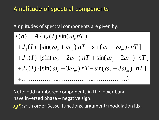Amplitudes of spectral components are given by:

$$
x(n) = A \{J_0(I) \sin(\omega_c nT)
$$
  
+
$$
J_1(I) \cdot [\sin(\omega_c + \omega_m) nT - \sin(\omega_c - \omega_m) \cdot nT]
$$
  
+
$$
J_2(I) \cdot [\sin(\omega_c + 2\omega_m) nT + \sin(\omega_c - 2\omega_m) \cdot nT]
$$
  
+
$$
J_3(I) \cdot [\sin(\omega_c + 3\omega_m) nT - \sin(\omega_c - 3\omega_m) \cdot nT]
$$
  
+.................

*J<sub>n</sub>*(*I*): *n*-th order Bessel functions, argument: modulation idx. Note: odd numbered components in the lower band have inversed phase – negative sign.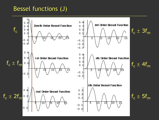# Bessel functions (J)

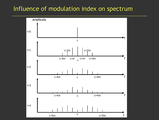# Influence of modulation index on spectrum

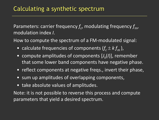Parameters: carrier frequency  $f_c$ , modulating frequency  $f_{\sf m}$ , modulation index *I*.

How to compute the spectrum of a FM-modulated signal:

- calculate frequencies of components  $(f_c \pm k f_m)$ ,
- compute amplitudes of components [*J k* (*I*)], remember that some lower band components have negative phase.
- reflect components at negative freqs., invert their phase,
- sum up amplitudes of overlapping components,
- take absolute values of amplitudes.

Note: it is not possible to reverse this process and compute parameters that yield a desired spectrum.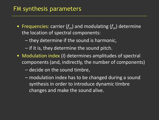# FM synthesis parameters

- Frequencies: carrier (*fm*) and modulating (*fm*) determine the location of spectral components:
	- they determine if the sound is harmonic,
	- if it is, they determine the sound pitch.
- Modulation index (*I*) determines amplitudes of spectral components (and, indirectly, the number of components)
	- decide on the sound timbre,
	- modulation index has to be changed during a sound synthesis in order to introduce dynamic timbre changes and make the sound alive.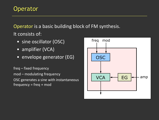# **Operator**

Operator is a basic building block of FM synthesis. It consists of:

- sine oscillator (OSC)
- amplifier (VCA)
- **•** envelope generator (EG)

freq – fixed frequency mod – modulating frequency OSC generates a sine with instantaneous  $frequency = freq + mod$ 

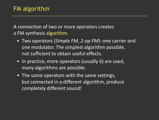A connection of two or more operators creates a FM synthesis algorithm.

- Two operators (*Simple FM*, *2-op FM*): one carrier and one modulator. The simplest algorithm possible, not sufficient to obtain useful effects.
- In practice, more operators (usually 6) are used, many algorithms are possible.
- The same operators with the same settings, but connected in a different algorithm, produce completely different sound!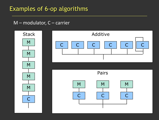#### M – modulator, C – carrier

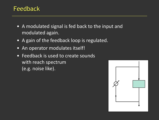# Feedback

- A modulated signal is fed back to the input and modulated again.
- A gain of the feedback loop is regulated.
- An operator modulates itself!
- Feedback is used to create sounds with reach spectrum (e.g. noise like).

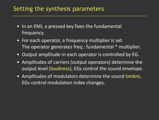# Setting the synthesis parameters

- In an EMI, a pressed key fixes the fundamental frequency.
- For each operator, a frequency multiplier is set. The operator generates freq.: fundamental \* multiplier.
- Output amplitude in each operator is controlled by EG.
- Amplitudes of carriers (output operators) determine the output level (loudness), EGs control the sound envelope.
- Amplitudes of modulators determine the sound timbre, EGs control modulation index changes.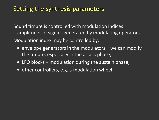Sound timbre is controlled with modulation indices – amplitudes of signals generated by modulating operators. Modulation index may be controlled by:

- envelope generators in the modulators we can modify the timbre, especially in the attack phase,
- LFO blocks modulation during the sustain phase,
- other controllers, e.g. a modulation wheel.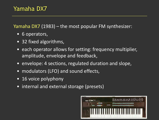Yamaha DX7 (1983) – the most popular FM synthesizer:

- 6 operators,
- 32 fixed algorithms,
- each operator allows for setting: frequency multiplier, amplitude, envelope and feedback,
- envelope: 4 sections, regulated duration and slope,
- modulators (LFO) and sound effects,
- 16 voice polyphony
- internal and external storage (presets)

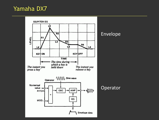# Yamaha DX7



#### Envelope

Operator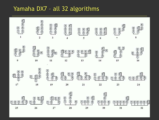# Yamaha DX7 – all 32 algorithms

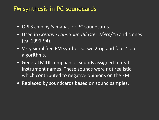## FM synthesis in PC soundcards

- OPL3 chip by Yamaha, for PC soundcards.
- Used in *Creative Labs SoundBlaster 2/Pro/16* and clones (ca. 1991-94).
- Very simplified FM synthesis: two 2-op and four 4-op algorithms.
- General MIDI compliance: sounds assigned to real instrument names. These sounds were not realistic, which contributed to negative opinions on the FM.
- Replaced by soundcards based on sound samples.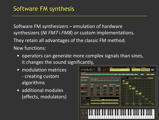Software FM synthesizers – emulation of hardware synthesizers (*NI FM7* i *FM8*) or custom implementations. They retain all advantages of the classic FM method. New functions:

- operators can generate more complex signals than sines, it changes the sound significantly,
- modulation matrices - creating custom algorithms
- additional modules (effects, modulators)

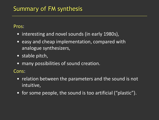# Summary of FM synthesis

#### Pros:

- interesting and novel sounds (in early 1980s),
- easy and cheap implementation, compared with analogue synthesizers,
- stable pitch,
- many possibilities of sound creation.

Cons:

- relation between the parameters and the sound is not intuitive,
- for some people, the sound is too artificial ("plastic").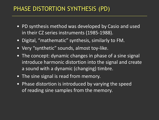# PHASE DISTORTION SYNTHESIS (PD)

- PD synthesis method was developed by Casio and used in their CZ series instruments (1985-1988).
- Digital, "mathematic" synthesis, similarly to FM.
- Very "synthetic" sounds, almost toy-like.
- The concept: dynamic changes in phase of a sine signal introduce harmonic distortion into the signal and create a sound with a dynamic (changing) timbre.
- The sine signal is read from memory.
- Phase distortion is introduced by varying the speed of reading sine samples from the memory.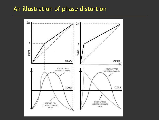## An illustration of phase distortion

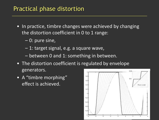# Practical phase distortion

- In practice, timbre changes were achieved by changing the distortion coefficient in 0 to 1 range:
	- 0: pure sine,
	- 1: target signal, e.g. a square wave,
	- between 0 and 1: something in between.
- The distortion coefficient is regulated by envelope generators.
- A "timbre morphing" effect is achieved.

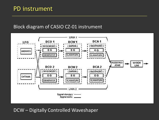## PD instrument

#### Block diagram of CASIO CZ-01 instrument



#### DCW – Digitally Controlled Waveshaper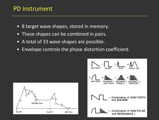## PD instrument

- 8 target wave shapes, stored in memory.
- These shapes can be combined in pairs.
- A total of 33 wave shapes are possible.
- Envelope controls the phase distortion coefficient.



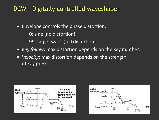# DCW – Digitally controlled waveshaper

- Envelope controls the phase distortion:
	- 0: sine (no distortion),
	- 99: target wave (full distortion).
- *Key follow*: max distortion depends on the key number.
- *Velocity*: max distortion depends on the strength of key press.



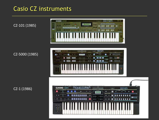# Casio CZ instruments

CZ-101 (1985)



#### CZ-5000 (1985)

CZ-1 (1986)

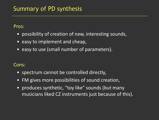# Summary of PD synthesis

Pros:

- possibility of creation of new, interesting sounds,
- easy to implement and cheap,
- easy to use (small number of parameters).

#### Cons:

- spectrum cannot be controlled directly,
- FM gives more possibilities of sound creation,
- produces synthetic, "toy like" sounds (but many musicians liked CZ instruments just because of this).